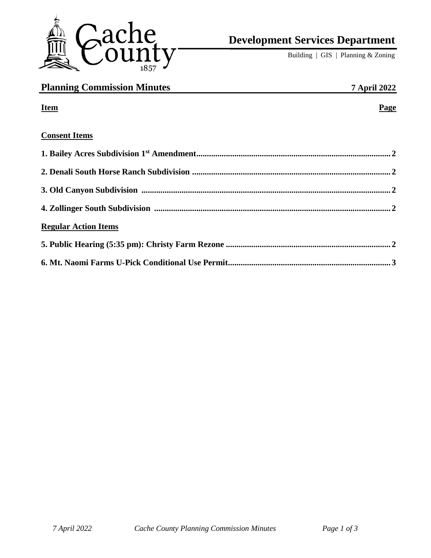

# **Development Services Department**

Building | GIS | Planning & Zoning

| <b>Planning Commission Minutes</b> | <b>7 April 2022</b> |
|------------------------------------|---------------------|
| <b>Item</b>                        | Page                |
| <b>Consent Items</b>               |                     |
|                                    |                     |
|                                    |                     |
|                                    |                     |
|                                    |                     |
| <b>Regular Action Items</b>        |                     |
|                                    |                     |
|                                    |                     |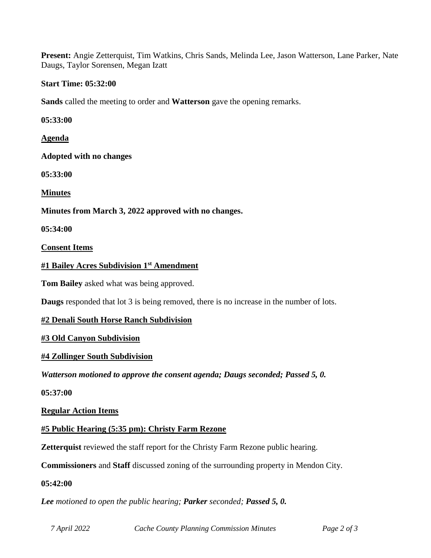**Present:** Angie Zetterquist, Tim Watkins, Chris Sands, Melinda Lee, Jason Watterson, Lane Parker, Nate Daugs, Taylor Sorensen, Megan Izatt

## **Start Time: 05:32:00**

**Sands** called the meeting to order and **Watterson** gave the opening remarks.

**05:33:00**

**Agenda**

**Adopted with no changes**

**05:33:00**

**Minutes**

**Minutes from March 3, 2022 approved with no changes.**

**05:34:00**

**Consent Items**

## **#1 Bailey Acres Subdivision 1st Amendment**

**Tom Bailey** asked what was being approved.

**Daugs** responded that lot 3 is being removed, there is no increase in the number of lots.

# **#2 Denali South Horse Ranch Subdivision**

# **#3 Old Canyon Subdivision**

## **#4 Zollinger South Subdivision**

*Watterson motioned to approve the consent agenda; Daugs seconded; Passed 5, 0.*

**05:37:00**

**Regular Action Items**

**#5 Public Hearing (5:35 pm): Christy Farm Rezone**

**Zetterquist** reviewed the staff report for the Christy Farm Rezone public hearing.

**Commissioners** and **Staff** discussed zoning of the surrounding property in Mendon City.

## **05:42:00**

*Lee motioned to open the public hearing; Parker seconded; Passed 5, 0.*